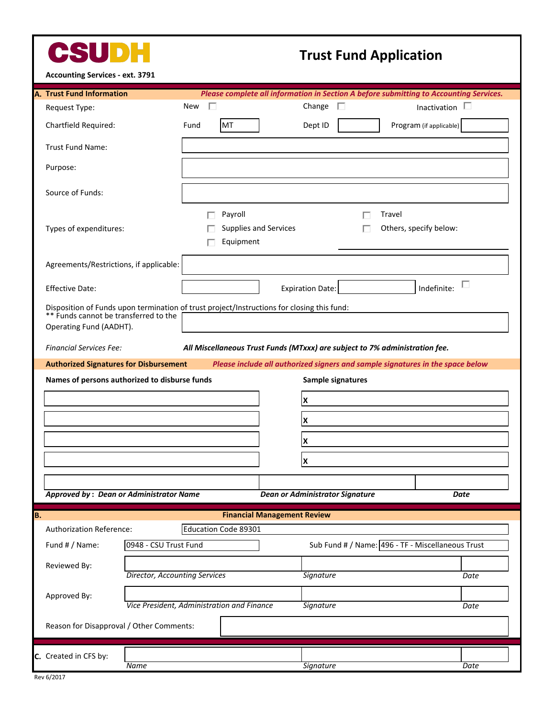

## **Trust Fund Application**

**Accounting Services - ext. 3791**

|    | Accounting Services - ext. 3791                                                                                                                                |                                                                             |                                 |                                                                                        |  |                                                   |  |  |
|----|----------------------------------------------------------------------------------------------------------------------------------------------------------------|-----------------------------------------------------------------------------|---------------------------------|----------------------------------------------------------------------------------------|--|---------------------------------------------------|--|--|
|    | <b>A. Trust Fund Information</b>                                                                                                                               |                                                                             |                                 | Please complete all information in Section A before submitting to Accounting Services. |  |                                                   |  |  |
|    | Request Type:                                                                                                                                                  | п<br>New                                                                    |                                 | Change<br>П                                                                            |  | L<br>Inactivation                                 |  |  |
|    | Chartfield Required:                                                                                                                                           | MT<br>Fund                                                                  |                                 | Dept ID                                                                                |  | Program (if applicable)                           |  |  |
|    | Trust Fund Name:                                                                                                                                               |                                                                             |                                 |                                                                                        |  |                                                   |  |  |
|    | Purpose:                                                                                                                                                       |                                                                             |                                 |                                                                                        |  |                                                   |  |  |
|    | Source of Funds:                                                                                                                                               |                                                                             |                                 |                                                                                        |  |                                                   |  |  |
|    | Types of expenditures:                                                                                                                                         | Payroll<br>Equipment                                                        | Supplies and Services           | Travel<br>Others, specify below:                                                       |  |                                                   |  |  |
|    | Agreements/Restrictions, if applicable:                                                                                                                        |                                                                             |                                 |                                                                                        |  |                                                   |  |  |
|    | ш<br>Indefinite:<br><b>Expiration Date:</b><br><b>Effective Date:</b>                                                                                          |                                                                             |                                 |                                                                                        |  |                                                   |  |  |
|    | Disposition of Funds upon termination of trust project/Instructions for closing this fund:<br>** Funds cannot be transferred to the<br>Operating Fund (AADHT). |                                                                             |                                 |                                                                                        |  |                                                   |  |  |
|    | <b>Financial Services Fee:</b>                                                                                                                                 | All Miscellaneous Trust Funds (MTxxx) are subject to 7% administration fee. |                                 |                                                                                        |  |                                                   |  |  |
|    | <b>Authorized Signatures for Disbursement</b><br>Please include all authorized signers and sample signatures in the space below                                |                                                                             |                                 |                                                                                        |  |                                                   |  |  |
|    | Names of persons authorized to disburse funds                                                                                                                  |                                                                             | Sample signatures               |                                                                                        |  |                                                   |  |  |
|    |                                                                                                                                                                |                                                                             |                                 | X                                                                                      |  |                                                   |  |  |
|    |                                                                                                                                                                |                                                                             |                                 | X                                                                                      |  |                                                   |  |  |
|    |                                                                                                                                                                |                                                                             |                                 |                                                                                        |  |                                                   |  |  |
|    |                                                                                                                                                                |                                                                             |                                 | X                                                                                      |  |                                                   |  |  |
|    |                                                                                                                                                                |                                                                             |                                 | X                                                                                      |  |                                                   |  |  |
|    |                                                                                                                                                                |                                                                             |                                 |                                                                                        |  |                                                   |  |  |
|    | <b>Approved by: Dean or Administrator Name</b>                                                                                                                 |                                                                             | Dean or Administrator Signature |                                                                                        |  | Date                                              |  |  |
| B. | <b>Financial Management Review</b>                                                                                                                             |                                                                             |                                 |                                                                                        |  |                                                   |  |  |
|    | Authorization Reference:                                                                                                                                       | Education Code 89301                                                        |                                 |                                                                                        |  |                                                   |  |  |
|    | 0948 - CSU Trust Fund<br>Fund # / Name:                                                                                                                        |                                                                             |                                 |                                                                                        |  | Sub Fund # / Name: 496 - TF - Miscellaneous Trust |  |  |
|    | Reviewed By:<br><b>Director, Accounting Services</b>                                                                                                           |                                                                             |                                 | Signature                                                                              |  | Date                                              |  |  |
|    | Approved By:                                                                                                                                                   |                                                                             |                                 |                                                                                        |  |                                                   |  |  |
|    |                                                                                                                                                                | Vice President, Administration and Finance                                  |                                 | Signature                                                                              |  | Date                                              |  |  |
|    | Reason for Disapproval / Other Comments:                                                                                                                       |                                                                             |                                 |                                                                                        |  |                                                   |  |  |
|    |                                                                                                                                                                |                                                                             |                                 |                                                                                        |  |                                                   |  |  |
|    | C. Created in CFS by:<br>Name                                                                                                                                  |                                                                             |                                 | <b>Signature</b>                                                                       |  | Date                                              |  |  |